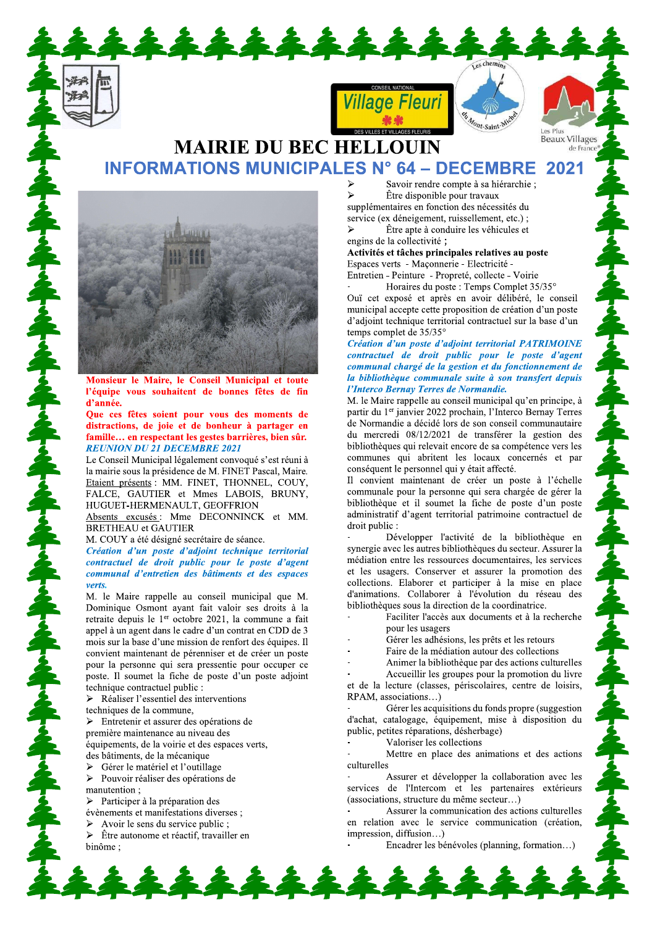

### **Beaux Villages MAIRIE DU BEC HELLOUIN INFORMATIONS MUNICIPALES N° 64 - DECEMBRE** 2021



Monsieur le Maire, le Conseil Municipal et toute l'équipe vous souhaitent de bonnes fêtes de fin d'année.

Que ces fêtes soient pour vous des moments de distractions, de joie et de bonheur à partager en famille... en respectant les gestes barrières, bien sûr. **REUNION DU 21 DECEMBRE 2021** 

Le Conseil Municipal légalement convoqué s'est réuni à la mairie sous la présidence de M. FINET Pascal, Maire. Etaient présents : MM. FINET, THONNEL, COUY, FALCE, GAUTIER et Mmes LABOIS, BRUNY, HUGUET-HERMENAULT, GEOFFRION

Absents excusés: Mme DECONNINCK et MM. **BRETHEAU** et GAUTIER

M. COUY a été désigné secrétaire de séance.

Création d'un poste d'adjoint technique territorial contractuel de droit public pour le poste d'agent communal d'entretien des bâtiments et des espaces verts.

M. le Maire rappelle au conseil municipal que M. Dominique Osmont ayant fait valoir ses droits à la retraite depuis le 1er octobre 2021, la commune a fait appel à un agent dans le cadre d'un contrat en CDD de 3 mois sur la base d'une mission de renfort des équipes. Il convient maintenant de pérenniser et de créer un poste pour la personne qui sera pressentie pour occuper ce poste. Il soumet la fiche de poste d'un poste adjoint technique contractuel public :

 $\triangleright$  Réaliser l'essentiel des interventions

techniques de la commune,

 $\triangleright$  Entretenir et assurer des opérations de

première maintenance au niveau des équipements, de la voirie et des espaces verts.

des bâtiments, de la mécanique

 $\blacktriangleright$ Gérer le matériel et l'outillage

 $\blacktriangleright$ Pouvoir réaliser des opérations de manutention:

 $\triangleright$  Participer à la préparation des

évènements et manifestations diverses ;

Avoir le sens du service public;

 $\triangleright$ Être autonome et réactif, travailler en hinôme:

Savoir rendre compte à sa hiérarchie ; Être disponible pour travaux supplémentaires en fonction des nécessités du service (ex déneigement, ruissellement, etc.); Être apte à conduire les véhicules et

Mont-Saint-M

Les Plus

engins de la collectivité ;

Activités et tâches principales relatives au poste Espaces verts - Maconnerie - Electricité -

Entretien - Peinture - Propreté, collecte - Voirie Horaires du poste : Temps Complet 35/35°

Ouï cet exposé et après en avoir délibéré, le conseil municipal accepte cette proposition de création d'un poste d'adjoint technique territorial contractuel sur la base d'un temps complet de 35/35°

Création d'un poste d'adjoint territorial PATRIMOINE contractuel de droit public pour le poste d'agent communal chargé de la gestion et du fonctionnement de la bibliothèque communale suite à son transfert depuis l'Interco Bernay Terres de Normandie.

M. le Maire rappelle au conseil municipal qu'en principe, à partir du 1<sup>er</sup> janvier 2022 prochain, l'Interco Bernay Terres de Normandie a décidé lors de son conseil communautaire du mercredi 08/12/2021 de transférer la gestion des bibliothèques qui relevait encore de sa compétence vers les communes qui abritent les locaux concernés et par conséquent le personnel qui y était affecté.

Il convient maintenant de créer un poste à l'échelle communale pour la personne qui sera chargée de gérer la bibliothèque et il soumet la fiche de poste d'un poste administratif d'agent territorial patrimoine contractuel de droit public :

Développer l'activité de la bibliothèque en synergie avec les autres bibliothèques du secteur. Assurer la médiation entre les ressources documentaires, les services et les usagers. Conserver et assurer la promotion des collections. Elaborer et participer à la mise en place d'animations. Collaborer à l'évolution du réseau des bibliothèques sous la direction de la coordinatrice.

Faciliter l'accès aux documents et à la recherche pour les usagers

Gérer les adhésions, les prêts et les retours

Faire de la médiation autour des collections

Animer la bibliothèque par des actions culturelles

Accueillir les groupes pour la promotion du livre et de la lecture (classes, périscolaires, centre de loisirs, RPAM, associations...)

Gérer les acquisitions du fonds propre (suggestion d'achat, catalogage, équipement, mise à disposition du public, petites réparations, désherbage)

Valoriser les collections

Mettre en place des animations et des actions culturelles

Assurer et développer la collaboration avec les services de l'Intercom et les partenaires extérieurs (associations, structure du même secteur...)

Assurer la communication des actions culturelles en relation avec le service communication (création, impression, diffusion...)

Encadrer les bénévoles (planning, formation...)